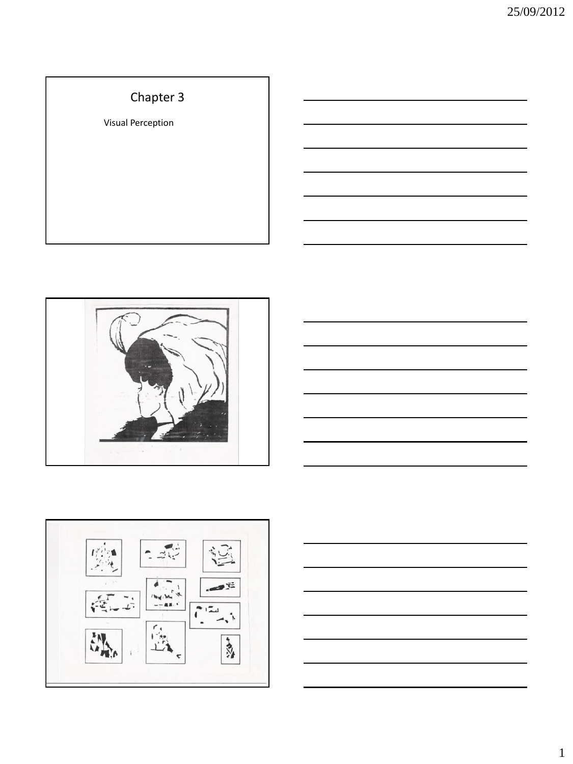# Chapter 3

Visual Perception







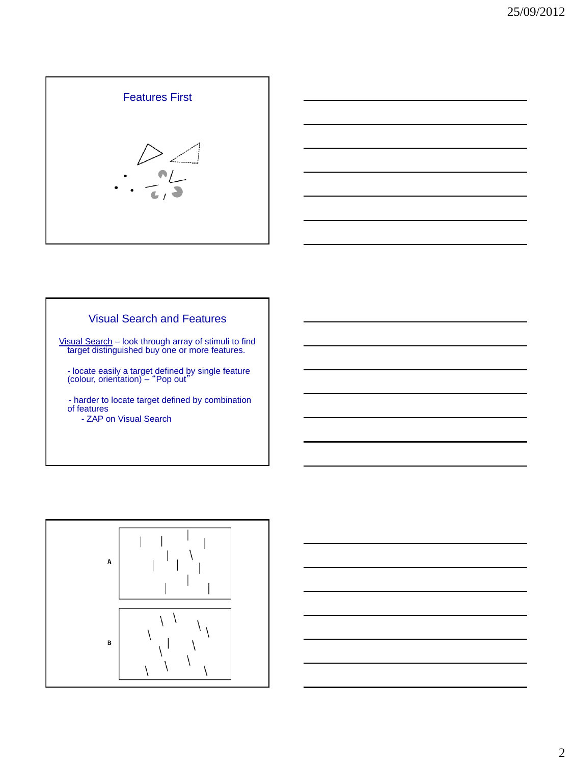



# Visual Search and Features

Visual Search – look through array of stimuli to find target distinguished buy one or more features.

- locate easily a target defined by single feature (colour, orientation) – "Pop out"

 - harder to locate target defined by combination of features - ZAP on Visual Search



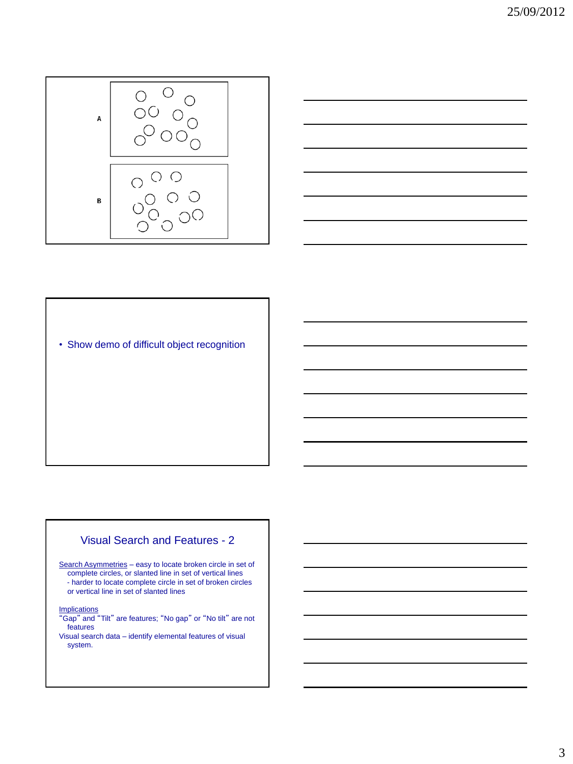



• Show demo of difficult object recognition

### Visual Search and Features - 2

Search Asymmetries – easy to locate broken circle in set of complete circles, or slanted line in set of vertical lines - harder to locate complete circle in set of broken circles or vertical line in set of slanted lines

**Implications** 

- "Gap" and "Tilt" are features; "No gap" or "No tilt" are not features
- Visual search data identify elemental features of visual system.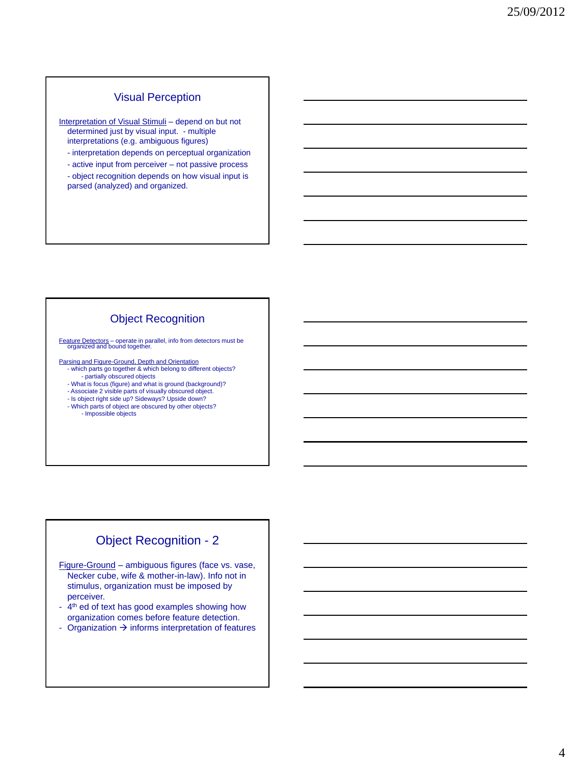## Visual Perception

Interpretation of Visual Stimuli - depend on but not determined just by visual input. - multiple interpretations (e.g. ambiguous figures)

- interpretation depends on perceptual organization
- active input from perceiver not passive process
- object recognition depends on how visual input is parsed (analyzed) and organized.

## Object Recognition

Feature Detectors – operate in parallel, info from detectors must be organized and bound together.

Parsing and Figure-Ground, Depth and Orientation

- which parts go together & which belong to different objects? - partially obscured objects
- What is focus (figure) and what is ground (background)?
- Associate 2 visible parts of visually obscured object.
- Is object right side up? Sideways? Upside down?
- Which parts of object are obscured by other objects? - Impossible objects

# Object Recognition - 2

Figure-Ground – ambiguous figures (face vs. vase, Necker cube, wife & mother-in-law). Info not in stimulus, organization must be imposed by perceiver.

- 4<sup>th</sup> ed of text has good examples showing how organization comes before feature detection.
- Organization  $\rightarrow$  informs interpretation of features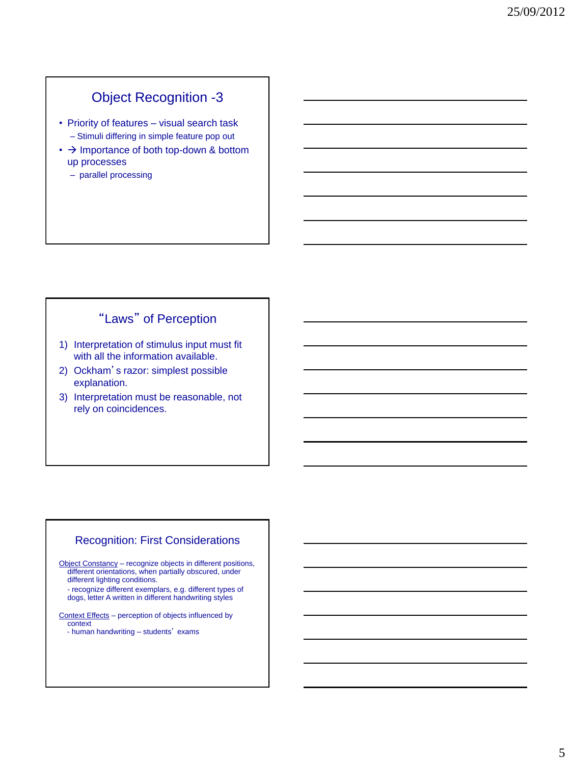# Object Recognition -3

- Priority of features visual search task – Stimuli differing in simple feature pop out
- $\cdot$   $\rightarrow$  Importance of both top-down & bottom up processes
	- parallel processing

# "Laws" of Perception

- 1) Interpretation of stimulus input must fit with all the information available.
- 2) Ockham's razor: simplest possible explanation.
- 3) Interpretation must be reasonable, not rely on coincidences.

## Recognition: First Considerations

Object Constancy – recognize objects in different positions, different orientations, when partially obscured, under different lighting conditions.

- recognize different exemplars, e.g. different types of dogs, letter A written in different handwriting styles

Context Effects – perception of objects influenced by context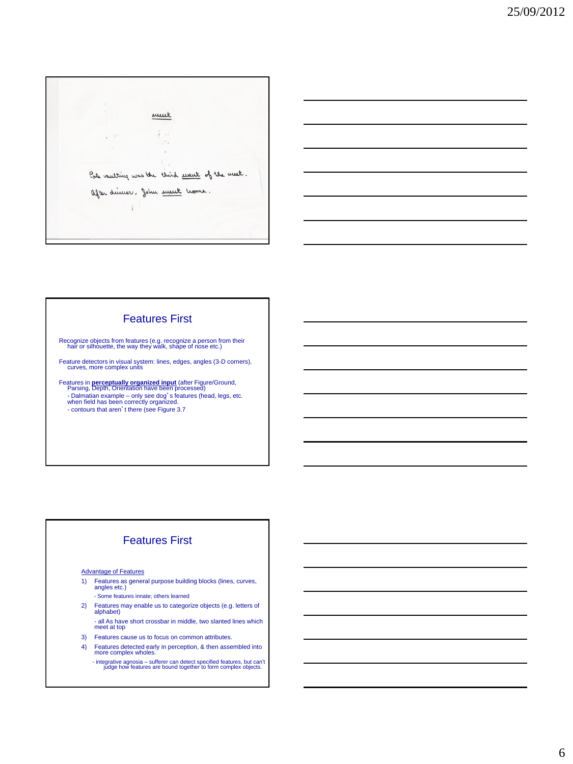

### Features First

Recognize objects from features (e.g. recognize a person from their hair or silhouette, the way they walk, shape of nose etc.)

Feature detectors in visual system: lines, edges, angles (3-D corners), curves, more complex units

Features in **perceptually organized input** (after Figure/Ground,<br>Parsing, Depth, Orientation have been processed)<br>- Dalmatian example – only see dog<sup>'</sup>s features (head, legs, etc.<br>when field has been correctly organized.<br>-

# Features First

#### Advantage of Features

- 1) Features as general purpose building blocks (lines, curves, angles etc.)
	- Some features innate; others learned
- 2) Features may enable us to categorize objects (e.g. letters of alphabet)
- all As have short crossbar in middle, two slanted lines which meet at top 3) Features cause us to focus on common attributes.
- 
- 4) Features detected early in perception, & then assembled into more complex wholes.
	- integrative agnosia sufferer can detect specified features, but can't judge how features are bound together to form complex objects.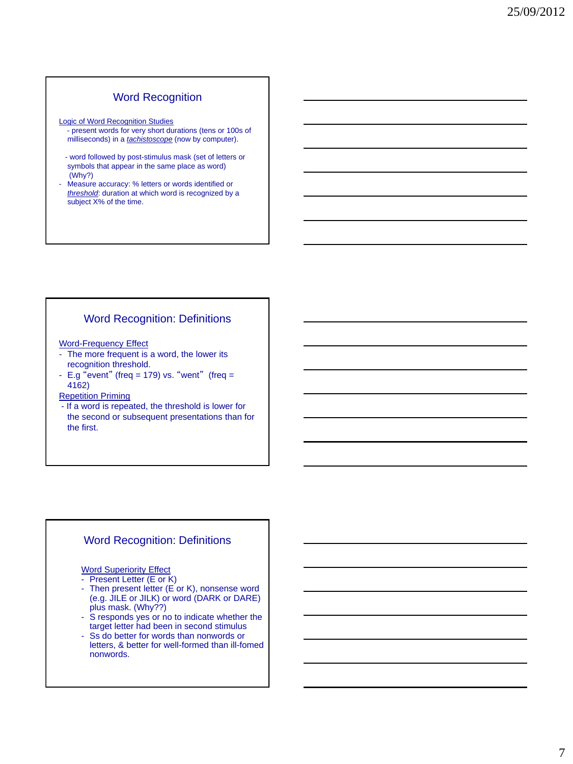### Word Recognition

Logic of Word Recognition Studies

- present words for very short durations (tens or 100s of milliseconds) in a *tachistoscope* (now by computer).
- word followed by post-stimulus mask (set of letters or symbols that appear in the same place as word) (Why?)
- Measure accuracy: % letters or words identified or *threshold*: duration at which word is recognized by a subject X% of the time.

### Word Recognition: Definitions

Word-Frequency Effect

- The more frequent is a word, the lower its recognition threshold.
- E.g "event" (freq = 179) vs. "went" (freq = 4162)

Repetition Priming

- If a word is repeated, the threshold is lower for the second or subsequent presentations than for the first.

### Word Recognition: Definitions

Word Superiority Effect

- Present Letter (E or K)

- Then present letter (E or K), nonsense word (e.g. JILE or JILK) or word (DARK or DARE) plus mask. (Why??)
- S responds yes or no to indicate whether the target letter had been in second stimulus
- Ss do better for words than nonwords or letters, & better for well-formed than ill-fomed nonwords.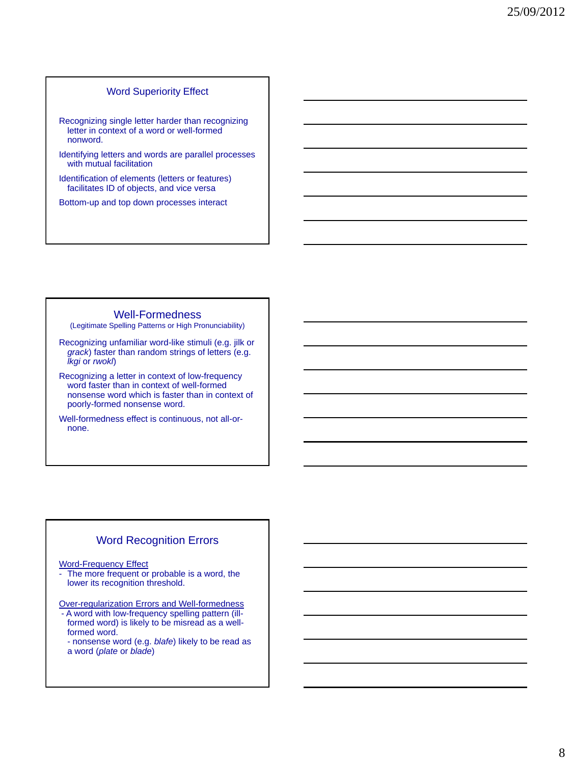### Word Superiority Effect

- Recognizing single letter harder than recognizing letter in context of a word or well-formed nonword.
- Identifying letters and words are parallel processes with mutual facilitation
- Identification of elements (letters or features) facilitates ID of objects, and vice versa

Bottom-up and top down processes interact

#### Well-Formedness

(Legitimate Spelling Patterns or High Pronunciability)

- Recognizing unfamiliar word-like stimuli (e.g. jilk or *grack*) faster than random strings of letters (e.g. *lkgi* or *rwokl*)
- Recognizing a letter in context of low-frequency word faster than in context of well-formed nonsense word which is faster than in context of poorly-formed nonsense word.
- Well-formedness effect is continuous, not all-ornone.

### Word Recognition Errors

Word-Frequency Effect

- The more frequent or probable is a word, the lower its recognition threshold.
- Over-regularization Errors and Well-formedness
- A word with low-frequency spelling pattern (illformed word) is likely to be misread as a wellformed word.
- nonsense word (e.g. *blafe*) likely to be read as a word (*plate* or *blade*)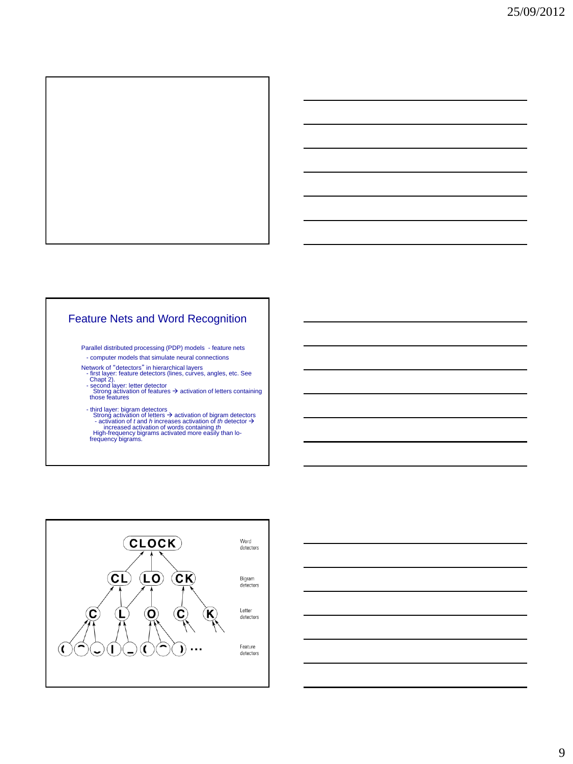

## Feature Nets and Word Recognition

Parallel distributed processing (PDP) models - feature nets

- computer models that simulate neural connections

Network of "detectors" in hierarchical layers<br>- first layer: feature detectors (lines, curves, angles, etc. See<br>- Chapt 2).<br>- second layer: letter detector<br>- second layer: letter detector<br>- strong activation of features →

- 
- 

- third layer: bigram detectors<br>
Strong activation of letters  $\rightarrow$  activation of logram detectors<br>
- activation of t and h increases activation of the detector<br>
increased activation of words containing th<br>
High-frequency



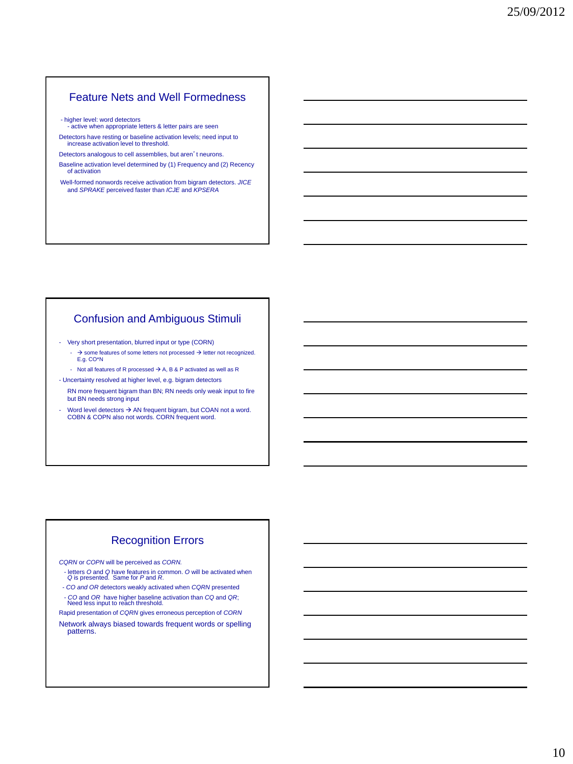## Feature Nets and Well Formedness

- higher level: word detectors active when appropriate letters & letter pairs are seen

Detectors have resting or baseline activation levels; need input to increase activation level to threshold.

Detectors analogous to cell assemblies, but aren't neurons. Baseline activation level determined by (1) Frequency and (2) Recency of activation

Well-formed nonwords receive activation from bigram detectors. *JICE* and *SPRAKE* perceived faster than *ICJE* and *KPSERA*

### Confusion and Ambiguous Stimuli

- Very short presentation, blurred input or type (CORN)

- $\rightarrow$  some features of some letters not processed  $\rightarrow$  letter not recognized. E.g. CO\*N
- Not all features of R processed  $\rightarrow$  A, B & P activated as well as R
- Uncertainty resolved at higher level, e.g. bigram detectors RN more frequent bigram than BN; RN needs only weak input to fire
- but BN needs strong input - Word level detectors  $\rightarrow$  AN frequent bigram, but COAN not a word. COBN & COPN also not words. CORN frequent word.

## Recognition Errors

*CQRN* or *COPN* will be perceived as *CORN.*

- letters *O* and *Q* have features in common. *O* will be activated when *Q* is presented. Same for *P* and *R*.
- *- CO and OR* detectors weakly activated when *CQRN* presented - *CO* and *OR* have higher baseline activation than *CQ* and *QR*; Need less input to reach threshold.
- Rapid presentation of *CQRN* gives erroneous perception of *CORN*

Network always biased towards frequent words or spelling patterns.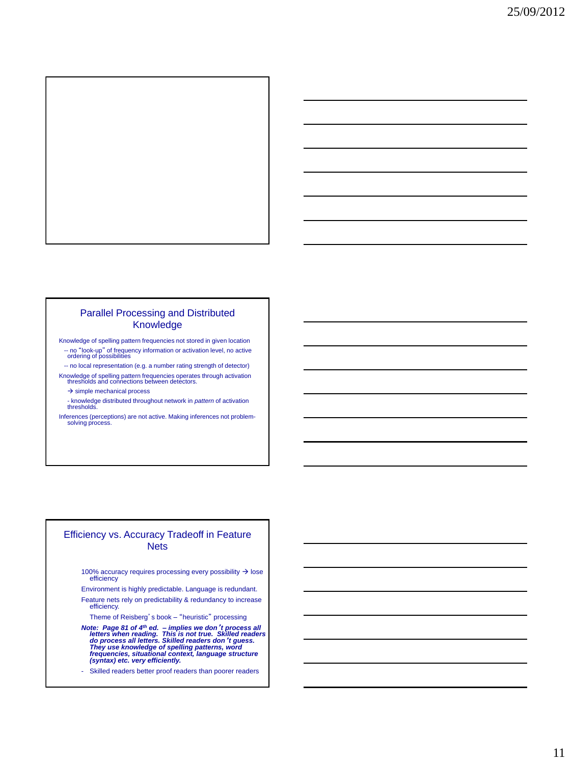

### Parallel Processing and Distributed Knowledge

Knowledge of spelling pattern frequencies not stored in given location -- no "look-up" of frequency information or activation level, no active ordering of possibilities

 -- no local representation (e.g. a number rating strength of detector) Knowledge of spelling pattern frequencies operates through activation thresholds and connections between detectors.

 $\rightarrow$  simple mechanical process

- knowledge distributed throughout network in *pattern* of activation thresholds.

Inferences (perceptions) are not active. Making inferences not problem-solving process.

#### Efficiency vs. Accuracy Tradeoff in Feature **Nets**

100% accuracy requires processing every possibility  $\rightarrow$  lose **efficiency** 

Environment is highly predictable. Language is redundant.

Feature nets rely on predictability & redundancy to increase efficiency.

Theme of Reisberg's book – "heuristic" processing

Note: Page 81 of 4<sup>th</sup> ed. - implies we don't process all<br>letters when reading. This is not true. Skilled readers<br>do process all letters. Skilled readers don't guess.<br>They use knowledge of spelling patterns, word<br>frequenci

- Skilled readers better proof readers than poorer readers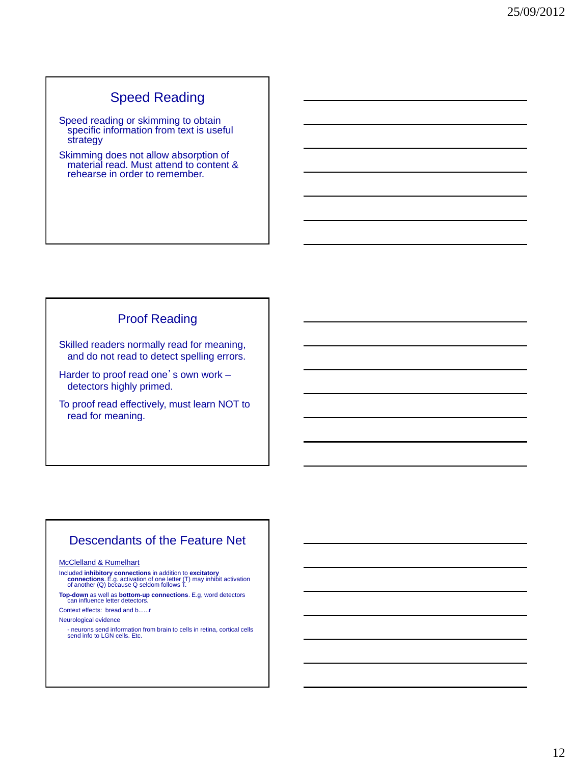# Speed Reading

Speed reading or skimming to obtain specific information from text is useful strategy

Skimming does not allow absorption of material read. Must attend to content & rehearse in order to remember.

# Proof Reading

Skilled readers normally read for meaning, and do not read to detect spelling errors.

Harder to proof read one's own work detectors highly primed.

To proof read effectively, must learn NOT to read for meaning.

# Descendants of the Feature Net

#### McClelland & Rumelhart

Included **inhibitory connections** in addition to **excitatory**<br> **connections**. E.g. activation of one letter (T) may inhibit activation<br>
of another (Q) because Q seldom follows T.

**Top-down** as well as **bottom-up connections**. E.g, word detectors can influence letter detectors.

Context effects: bread and b......r

#### Neurological evidence

- neurons send information from brain to cells in retina, cortical cells send info to LGN cells. Etc.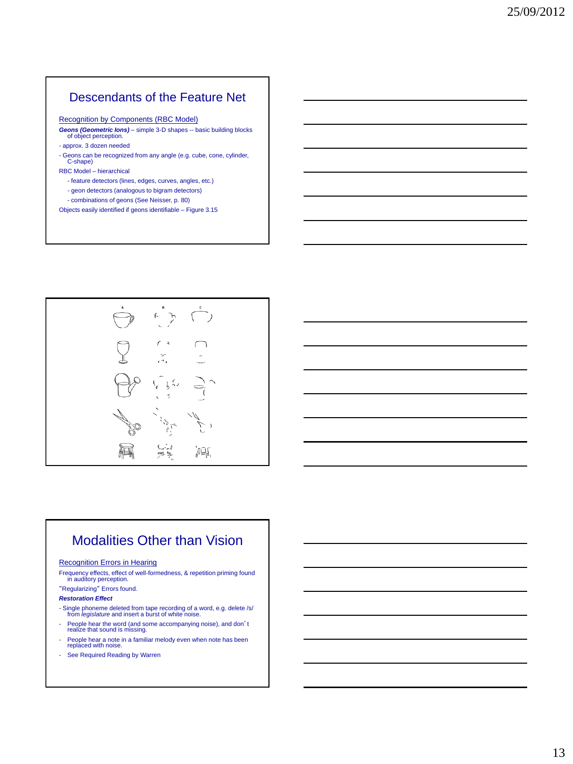# Descendants of the Feature Net

Recognition by Components (RBC Model)

- *Geons (Geometric Ions)* simple 3-D shapes -- basic building blocks of object perception.
- approx. 3 dozen needed
- Geons can be recognized from any angle (e.g. cube, cone, cylinder, C-shape)
- RBC Model hierarchical
	- feature detectors (lines, edges, curves, angles, etc.)
	- geon detectors (analogous to bigram detectors)
	- combinations of geons (See Neisser, p. 80)

Objects easily identified if geons identifiable – Figure 3.15



# Modalities Other than Vision

#### Recognition Errors in Hearing

Frequency effects, effect of well-formedness, & repetition priming found in auditory perception.

### "Regularizing" Errors found.

#### *Restoration Effect*

- Single phoneme deleted from tape recording of a word, e.g. delete /s/ from *legislature* and insert a burst of white noise.
- People hear the word (and some accompanying noise), and don't realize that sound is missing.
- People hear a note in a familiar melody even when note has been replaced with noise.
- See Required Reading by Warren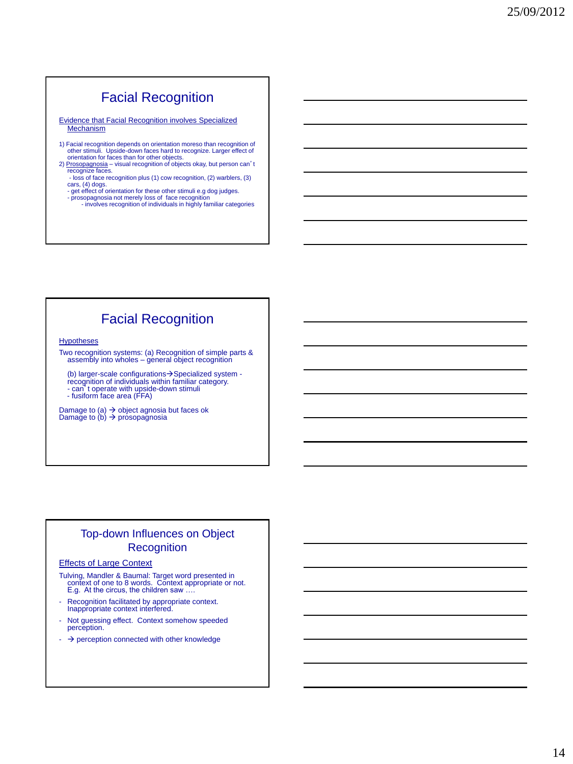# Facial Recognition

Evidence that Facial Recognition involves Specialized **Mechanism** 

- 1) Facial recognition depends on orientation moreso than recognition of other stimuli. Upside-down faces hard to recognize. Larger effect of orientation for faces than for other objects.
- 2) Prosopagnosia visual recognition of objects okay, but person can't recognize faces.
	- loss of face recognition plus (1) cow recognition, (2) warblers, (3) cars, (4) dogs. - get effect of orientation for these other stimuli e.g dog judges.
	-
	- prosopagnosia not merely loss of face recognition involves recognition of individuals in highly familiar categories

# Facial Recognition

**Hypotheses** 

Two recognition systems: (a) Recognition of simple parts & assembly into wholes - general object recognition

(b) larger-scale configurations→Specialized system -<br>recognition of individuals within familiar category. - can't operate with upside-down stimuli - fusiform face area (FFA)

Damage to (a) → object agnosia but faces ok<br>Damage to (b) → prosopagnosia

## Top-down Influences on Object **Recognition**

#### Effects of Large Context

Tulving, Mandler & Baumal: Target word presented in context of one to 8 words. Context appropriate or not.<br>E.g. At the circus, the children saw ....

- Recognition facilitated by appropriate context. Inappropriate context interfered.
- Not guessing effect. Context somehow speeded perception.
- $\rightarrow$  perception connected with other knowledge